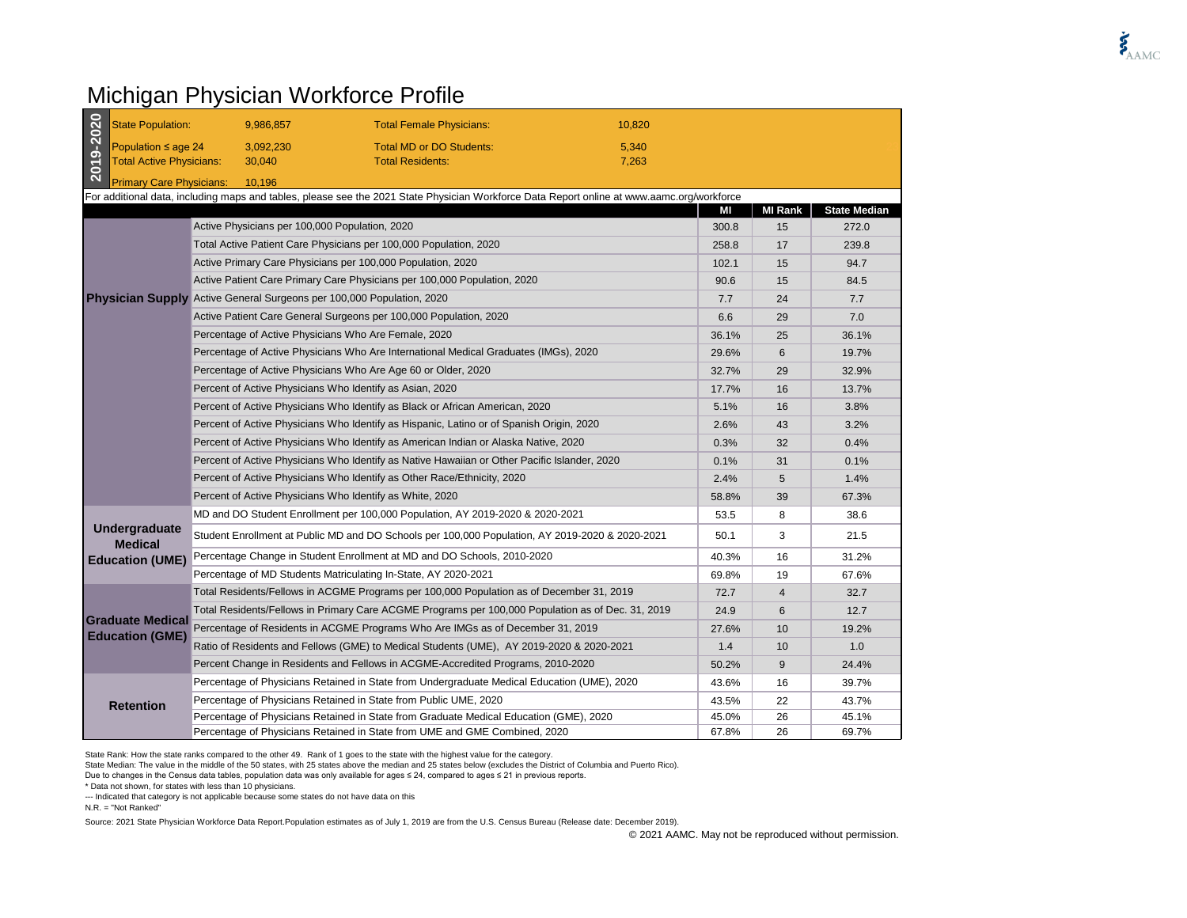## Michigan Physician Workforce Profile

| 2019-2020 | <b>State Population:</b>                                                                                                                   |                                                                                              | 9,986,857                                                                                | <b>Total Female Physicians:</b>                                                                   | 10,820 |       |                |                     |
|-----------|--------------------------------------------------------------------------------------------------------------------------------------------|----------------------------------------------------------------------------------------------|------------------------------------------------------------------------------------------|---------------------------------------------------------------------------------------------------|--------|-------|----------------|---------------------|
|           | Population $\leq$ age 24<br><b>Total Active Physicians:</b>                                                                                |                                                                                              | 3,092,230                                                                                | <b>Total MD or DO Students:</b>                                                                   | 5,340  |       |                |                     |
|           |                                                                                                                                            |                                                                                              | 30,040                                                                                   | <b>Total Residents:</b>                                                                           | 7,263  |       |                |                     |
|           | <b>Primary Care Physicians:</b>                                                                                                            |                                                                                              | 10,196                                                                                   |                                                                                                   |        |       |                |                     |
|           | For additional data, including maps and tables, please see the 2021 State Physician Workforce Data Report online at www.aamc.org/workforce |                                                                                              |                                                                                          |                                                                                                   |        |       |                |                     |
|           |                                                                                                                                            |                                                                                              |                                                                                          |                                                                                                   |        | МI    | <b>MI Rank</b> | <b>State Median</b> |
|           |                                                                                                                                            |                                                                                              | Active Physicians per 100,000 Population, 2020                                           |                                                                                                   |        | 300.8 | 15             | 272.0               |
|           |                                                                                                                                            | Total Active Patient Care Physicians per 100,000 Population, 2020                            |                                                                                          |                                                                                                   | 258.8  | 17    | 239.8          |                     |
|           |                                                                                                                                            | Active Primary Care Physicians per 100,000 Population, 2020                                  |                                                                                          |                                                                                                   | 102.1  | 15    | 94.7           |                     |
|           |                                                                                                                                            |                                                                                              |                                                                                          | Active Patient Care Primary Care Physicians per 100,000 Population, 2020                          |        | 90.6  | 15             | 84.5                |
|           |                                                                                                                                            |                                                                                              |                                                                                          | <b>Physician Supply</b> Active General Surgeons per 100,000 Population, 2020                      |        | 7.7   | 24             | 7.7                 |
|           |                                                                                                                                            |                                                                                              |                                                                                          | Active Patient Care General Surgeons per 100,000 Population, 2020                                 |        | 6.6   | 29             | 7.0                 |
|           |                                                                                                                                            |                                                                                              |                                                                                          | Percentage of Active Physicians Who Are Female, 2020                                              |        | 36.1% | 25             | 36.1%               |
|           |                                                                                                                                            |                                                                                              |                                                                                          | Percentage of Active Physicians Who Are International Medical Graduates (IMGs), 2020              |        | 29.6% | 6              | 19.7%               |
|           |                                                                                                                                            |                                                                                              |                                                                                          | Percentage of Active Physicians Who Are Age 60 or Older, 2020                                     |        | 32.7% | 29             | 32.9%               |
|           |                                                                                                                                            |                                                                                              |                                                                                          | Percent of Active Physicians Who Identify as Asian, 2020                                          |        | 17.7% | 16             | 13.7%               |
|           |                                                                                                                                            | Percent of Active Physicians Who Identify as Black or African American, 2020                 |                                                                                          |                                                                                                   | 5.1%   | 16    | 3.8%           |                     |
|           |                                                                                                                                            |                                                                                              | Percent of Active Physicians Who Identify as Hispanic, Latino or of Spanish Origin, 2020 |                                                                                                   |        | 2.6%  | 43             | 3.2%                |
|           |                                                                                                                                            | Percent of Active Physicians Who Identify as American Indian or Alaska Native, 2020          |                                                                                          |                                                                                                   | 0.3%   | 32    | 0.4%           |                     |
|           |                                                                                                                                            | Percent of Active Physicians Who Identify as Native Hawaiian or Other Pacific Islander, 2020 |                                                                                          |                                                                                                   | 0.1%   | 31    | 0.1%           |                     |
|           |                                                                                                                                            | Percent of Active Physicians Who Identify as Other Race/Ethnicity, 2020                      |                                                                                          |                                                                                                   |        | 2.4%  | 5              | 1.4%                |
|           |                                                                                                                                            |                                                                                              |                                                                                          | Percent of Active Physicians Who Identify as White, 2020                                          |        | 58.8% | 39             | 67.3%               |
|           | Undergraduate<br><b>Medical</b><br><b>Education (UME)</b>                                                                                  |                                                                                              |                                                                                          | MD and DO Student Enrollment per 100,000 Population, AY 2019-2020 & 2020-2021                     |        | 53.5  | 8              | 38.6                |
|           |                                                                                                                                            |                                                                                              |                                                                                          | Student Enrollment at Public MD and DO Schools per 100,000 Population, AY 2019-2020 & 2020-2021   |        | 50.1  | 3              | 21.5                |
|           |                                                                                                                                            |                                                                                              |                                                                                          | Percentage Change in Student Enrollment at MD and DO Schools, 2010-2020                           |        | 40.3% | 16             | 31.2%               |
|           |                                                                                                                                            |                                                                                              |                                                                                          | Percentage of MD Students Matriculating In-State, AY 2020-2021                                    |        | 69.8% | 19             | 67.6%               |
|           | <b>Graduate Medical</b><br><b>Education (GME)</b>                                                                                          |                                                                                              |                                                                                          | Total Residents/Fellows in ACGME Programs per 100,000 Population as of December 31, 2019          |        | 72.7  | $\overline{4}$ | 32.7                |
|           |                                                                                                                                            |                                                                                              |                                                                                          | Total Residents/Fellows in Primary Care ACGME Programs per 100,000 Population as of Dec. 31, 2019 |        | 24.9  | 6              | 12.7                |
|           |                                                                                                                                            |                                                                                              |                                                                                          | Percentage of Residents in ACGME Programs Who Are IMGs as of December 31, 2019                    |        | 27.6% | 10             | 19.2%               |
|           |                                                                                                                                            |                                                                                              |                                                                                          | Ratio of Residents and Fellows (GME) to Medical Students (UME), AY 2019-2020 & 2020-2021          |        | 1.4   | 10             | 1.0                 |
|           |                                                                                                                                            |                                                                                              |                                                                                          | Percent Change in Residents and Fellows in ACGME-Accredited Programs, 2010-2020                   |        | 50.2% | 9              | 24.4%               |
|           | <b>Retention</b>                                                                                                                           |                                                                                              |                                                                                          | Percentage of Physicians Retained in State from Undergraduate Medical Education (UME), 2020       |        | 43.6% | 16             | 39.7%               |
|           |                                                                                                                                            |                                                                                              |                                                                                          | Percentage of Physicians Retained in State from Public UME, 2020                                  |        | 43.5% | 22             | 43.7%               |
|           |                                                                                                                                            |                                                                                              |                                                                                          | Percentage of Physicians Retained in State from Graduate Medical Education (GME), 2020            |        | 45.0% | 26             | 45.1%               |
|           |                                                                                                                                            |                                                                                              |                                                                                          | Percentage of Physicians Retained in State from UME and GME Combined, 2020                        |        | 67.8% | 26             | 69.7%               |

State Rank: How the state ranks compared to the other 49. Rank of 1 goes to the state with the highest value for the category.

State Median: The value in the middle of the 50 states, with 25 states above the median and 25 states below (excludes the District of Columbia and Puerto Rico).

Due to changes in the Census data tables, population data was only available for ages ≤ 24, compared to ages ≤ 21 in previous reports.

\* Data not shown, for states with less than 10 physicians.

--- Indicated that category is not applicable because some states do not have data on this

N.R. = "Not Ranked"

Source: 2021 State Physician Workforce Data Report.Population estimates as of July 1, 2019 are from the U.S. Census Bureau (Release date: December 2019).

© 2021 AAMC. May not be reproduced without permission.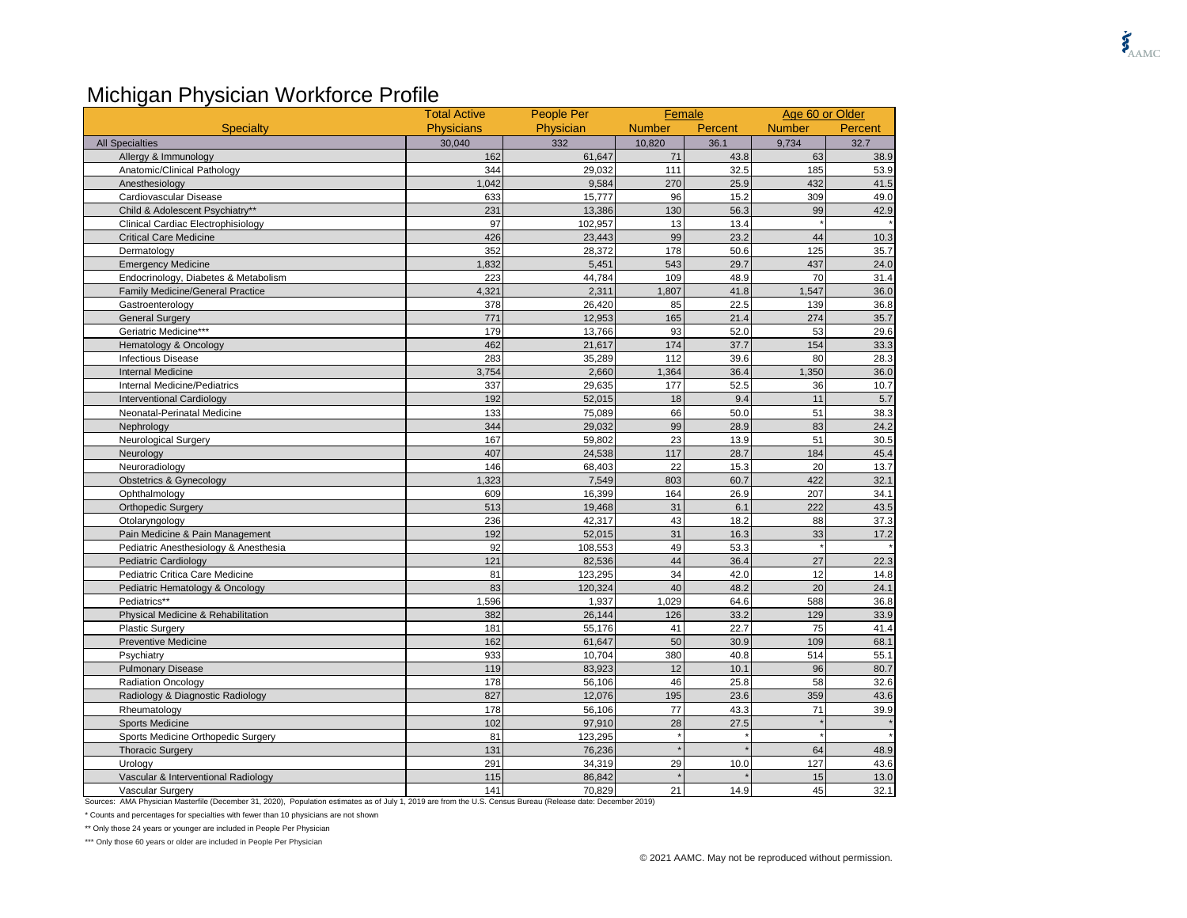## Michigan Physician Workforce Profile

|                                         | <b>Total Active</b> | People Per | Female        |         |               | Age 60 or Older |  |
|-----------------------------------------|---------------------|------------|---------------|---------|---------------|-----------------|--|
| <b>Specialty</b>                        | <b>Physicians</b>   | Physician  | <b>Number</b> | Percent | <b>Number</b> | Percent         |  |
| <b>All Specialties</b>                  | 30,040              | 332        | 10,820        | 36.1    | 9,734         | 32.7            |  |
| Allergy & Immunology                    | 162                 | 61,647     | 71            | 43.8    | 63            | 38.9            |  |
| Anatomic/Clinical Pathology             | 344                 | 29,032     | 111           | 32.5    | 185           | 53.9            |  |
| Anesthesiology                          | 1.042               | 9,584      | 270           | 25.9    | 432           | 41.5            |  |
| Cardiovascular Disease                  | 633                 | 15,777     | 96            | 15.2    | 309           | 49.0            |  |
| Child & Adolescent Psychiatry**         | 231                 | 13,386     | 130           | 56.3    | 99            | 42.9            |  |
| Clinical Cardiac Electrophisiology      | 97                  | 102,957    | 13            | 13.4    |               |                 |  |
| <b>Critical Care Medicine</b>           | 426                 | 23,443     | 99            | 23.2    | 44            | 10.3            |  |
| Dermatology                             | 352                 | 28,372     | 178           | 50.6    | 125           | 35.7            |  |
| <b>Emergency Medicine</b>               | 1,832               | 5,451      | 543           | 29.7    | 437           | 24.0            |  |
| Endocrinology, Diabetes & Metabolism    | 223                 | 44,784     | 109           | 48.9    | 70            | 31.4            |  |
| <b>Family Medicine/General Practice</b> | 4,321               | 2,311      | 1,807         | 41.8    | 1,547         | 36.0            |  |
| Gastroenterology                        | 378                 | 26,420     | 85            | 22.5    | 139           | 36.8            |  |
| <b>General Surgery</b>                  | 771                 | 12,953     | 165           | 21.4    | 274           | 35.7            |  |
| Geriatric Medicine***                   | 179                 | 13,766     | 93            | 52.0    | 53            | 29.6            |  |
| Hematology & Oncology                   | 462                 | 21,617     | 174           | 37.7    | 154           | 33.3            |  |
| <b>Infectious Disease</b>               | 283                 | 35,289     | 112           | 39.6    | 80            | 28.3            |  |
| <b>Internal Medicine</b>                | 3,754               | 2,660      | 1,364         | 36.4    | 1,350         | 36.0            |  |
| Internal Medicine/Pediatrics            | 337                 | 29,635     | 177           | 52.5    | 36            | 10.7            |  |
| <b>Interventional Cardiology</b>        | 192                 | 52,015     | 18            | 9.4     | 11            | 5.7             |  |
| Neonatal-Perinatal Medicine             | 133                 | 75,089     | 66            | 50.0    | 51            | 38.3            |  |
| Nephrology                              | 344                 | 29,032     | 99            | 28.9    | 83            | 24.2            |  |
| <b>Neurological Surgery</b>             | 167                 | 59,802     | 23            | 13.9    | 51            | 30.5            |  |
| Neurology                               | 407                 | 24,538     | 117           | 28.7    | 184           | 45.4            |  |
| Neuroradiology                          | 146                 | 68,403     | 22            | 15.3    | 20            | 13.7            |  |
| <b>Obstetrics &amp; Gynecology</b>      | 1,323               | 7,549      | 803           | 60.7    | 422           | 32.1            |  |
| Ophthalmology                           | 609                 | 16,399     | 164           | 26.9    | 207           | 34.1            |  |
| <b>Orthopedic Surgery</b>               | 513                 | 19,468     | 31            | 6.1     | 222           | 43.5            |  |
| Otolaryngology                          | 236                 | 42,317     | 43            | 18.2    | 88            | 37.3            |  |
| Pain Medicine & Pain Management         | 192                 | 52,015     | 31            | 16.3    | 33            | 17.2            |  |
| Pediatric Anesthesiology & Anesthesia   | 92                  | 108,553    | 49            | 53.3    |               |                 |  |
| <b>Pediatric Cardiology</b>             | 121                 | 82,536     | 44            | 36.4    | 27            | 22.3            |  |
| Pediatric Critica Care Medicine         | 81                  | 123,295    | 34            | 42.0    | 12            | 14.8            |  |
| Pediatric Hematology & Oncology         | 83                  | 120,324    | 40            | 48.2    | 20            | 24.1            |  |
| Pediatrics**                            | 1,596               | 1,937      | 1,029         | 64.6    | 588           | 36.8            |  |
| Physical Medicine & Rehabilitation      | 382                 | 26,144     | 126           | 33.2    | 129           | 33.9            |  |
| <b>Plastic Surgery</b>                  | 181                 | 55,176     | 41            | 22.7    | 75            | 41.4            |  |
| <b>Preventive Medicine</b>              | 162                 | 61,647     | 50            | 30.9    | 109           | 68.1            |  |
| Psychiatry                              | 933                 | 10,704     | 380           | 40.8    | 514           | 55.1            |  |
| <b>Pulmonary Disease</b>                | 119                 | 83,923     | 12            | 10.1    | 96            | 80.7            |  |
| <b>Radiation Oncology</b>               | 178                 | 56,106     | 46            | 25.8    | 58            | 32.6            |  |
| Radiology & Diagnostic Radiology        | 827                 | 12,076     | 195           | 23.6    | 359           | 43.6            |  |
| Rheumatology                            | 178                 | 56,106     | 77            | 43.3    | 71            | 39.9            |  |
| <b>Sports Medicine</b>                  | 102                 | 97,910     | 28            | 27.5    |               |                 |  |
| Sports Medicine Orthopedic Surgery      | 81                  | 123,295    |               |         |               |                 |  |
| <b>Thoracic Surgery</b>                 | 131                 | 76,236     |               |         | 64            | 48.9            |  |
| Urology                                 | 291                 | 34,319     | 29            | 10.0    | 127           | 43.6            |  |
| Vascular & Interventional Radiology     | 115                 | 86,842     |               |         | 15            | 13.0            |  |
| Vascular Surgery                        | 141                 | 70,829     | 21            | 14.9    | 45            | 32.1            |  |

Sources: AMA Physician Masterfile (December 31, 2020), Population estimates as of July 1, 2019 are from the U.S. Census Bureau (Release date: December 2019)

\* Counts and percentages for specialties with fewer than 10 physicians are not shown

\*\* Only those 24 years or younger are included in People Per Physician

\*\*\* Only those 60 years or older are included in People Per Physician

 $\boldsymbol{\xi}_{\text{AMC}}$